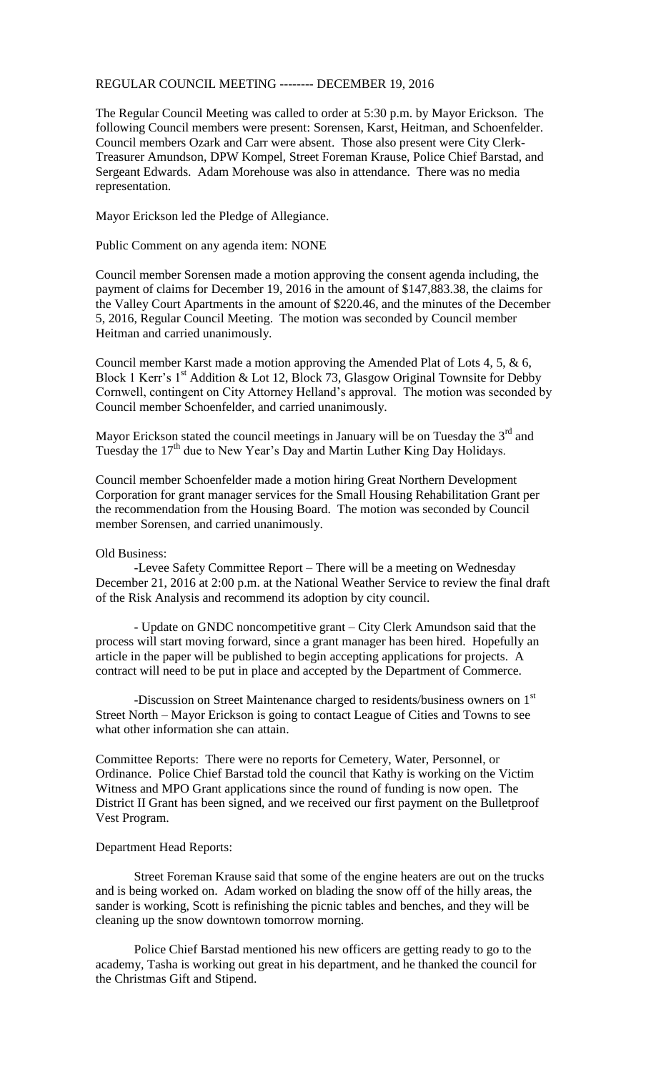## REGULAR COUNCIL MEETING -------- DECEMBER 19, 2016

The Regular Council Meeting was called to order at 5:30 p.m. by Mayor Erickson. The following Council members were present: Sorensen, Karst, Heitman, and Schoenfelder. Council members Ozark and Carr were absent. Those also present were City Clerk-Treasurer Amundson, DPW Kompel, Street Foreman Krause, Police Chief Barstad, and Sergeant Edwards. Adam Morehouse was also in attendance. There was no media representation.

Mayor Erickson led the Pledge of Allegiance.

Public Comment on any agenda item: NONE

Council member Sorensen made a motion approving the consent agenda including, the payment of claims for December 19, 2016 in the amount of \$147,883.38, the claims for the Valley Court Apartments in the amount of \$220.46, and the minutes of the December 5, 2016, Regular Council Meeting. The motion was seconded by Council member Heitman and carried unanimously.

Council member Karst made a motion approving the Amended Plat of Lots 4, 5, & 6, Block 1 Kerr's  $1<sup>st</sup>$  Addition & Lot 12, Block 73, Glasgow Original Townsite for Debby Cornwell, contingent on City Attorney Helland's approval. The motion was seconded by Council member Schoenfelder, and carried unanimously.

Mayor Erickson stated the council meetings in January will be on Tuesday the  $3<sup>rd</sup>$  and Tuesday the 17<sup>th</sup> due to New Year's Day and Martin Luther King Day Holidays.

Council member Schoenfelder made a motion hiring Great Northern Development Corporation for grant manager services for the Small Housing Rehabilitation Grant per the recommendation from the Housing Board. The motion was seconded by Council member Sorensen, and carried unanimously.

## Old Business:

-Levee Safety Committee Report – There will be a meeting on Wednesday December 21, 2016 at 2:00 p.m. at the National Weather Service to review the final draft of the Risk Analysis and recommend its adoption by city council.

- Update on GNDC noncompetitive grant – City Clerk Amundson said that the process will start moving forward, since a grant manager has been hired. Hopefully an article in the paper will be published to begin accepting applications for projects. A contract will need to be put in place and accepted by the Department of Commerce.

-Discussion on Street Maintenance charged to residents/business owners on  $1<sup>st</sup>$ Street North – Mayor Erickson is going to contact League of Cities and Towns to see what other information she can attain.

Committee Reports: There were no reports for Cemetery, Water, Personnel, or Ordinance. Police Chief Barstad told the council that Kathy is working on the Victim Witness and MPO Grant applications since the round of funding is now open. The District II Grant has been signed, and we received our first payment on the Bulletproof Vest Program.

## Department Head Reports:

Street Foreman Krause said that some of the engine heaters are out on the trucks and is being worked on. Adam worked on blading the snow off of the hilly areas, the sander is working, Scott is refinishing the picnic tables and benches, and they will be cleaning up the snow downtown tomorrow morning.

Police Chief Barstad mentioned his new officers are getting ready to go to the academy, Tasha is working out great in his department, and he thanked the council for the Christmas Gift and Stipend.